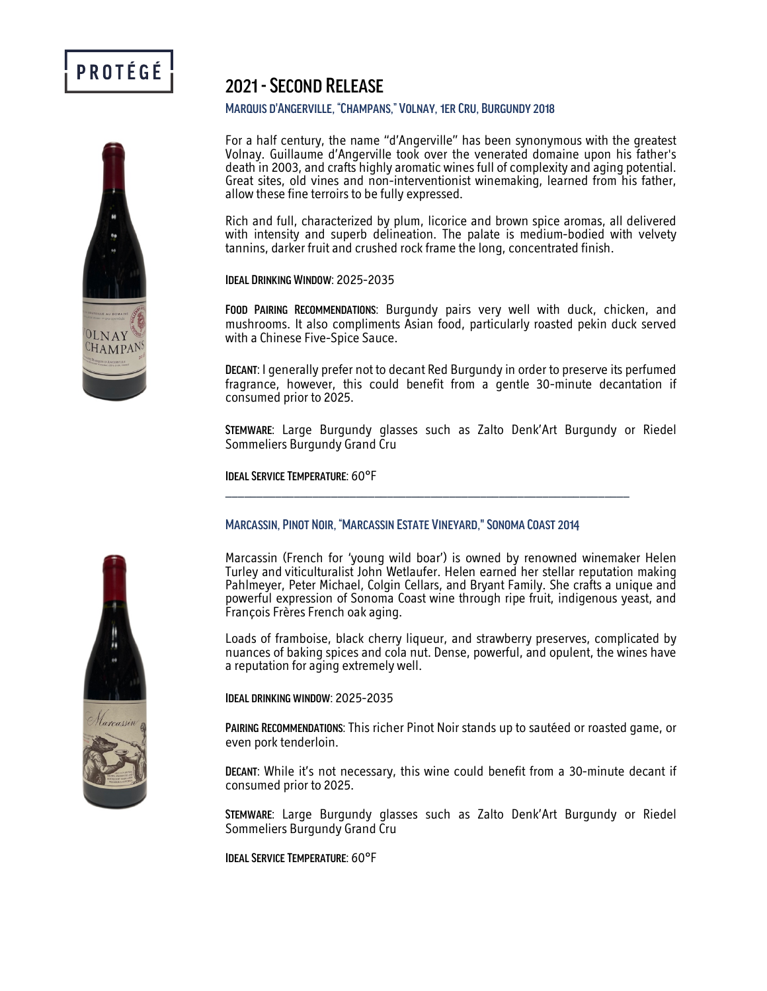

# 2021 -Second Release

#### Marquis d'Angerville, "Champans," Volnay, 1er Cru, Burgundy 2018

For a half century, the name "d'Angerville" has been synonymous with the greatest Volnay. Guillaume d'Angerville took over the venerated domaine upon his father's Great sites, old vines and non-interventionist winemaking, learned from his father, allow these fine terroirs to be fully expressed.

Rich and full, characterized by plum, licorice and brown spice aromas, all delivered with intensity and superb delineation. The palate is medium-bodied with velvety tannins, darker fruit and crushed rock frame the long, concentrated finish.

Ideal Drinking Window: 2025-2035

FOOD PAIRING RECOMMENDATIONS: Burgundy pairs very well with duck, chicken, and mushrooms. It also compliments Asian food, particularly roasted pekin duck served with a Chinese Five-Spice Sauce.

Decant: I generally prefer not to decant Red Burgundy in order to preserve its perfumed fragrance, however, this could benefit from a gentle 30-minute decantation if consumed prior to 2025.

Stemware: Large Burgundy glasses such as Zalto Denk'Art Burgundy or Riedel Sommeliers Burgundy Grand Cru

Ideal Service Temperature: 60°F

## Marcassin, Pinot Noir, "Marcassin Estate Vineyard," Sonoma Coast 2014

\_\_\_\_\_\_\_\_\_\_\_\_\_\_\_\_\_\_\_\_\_\_\_\_\_\_\_\_\_\_\_\_\_\_\_\_\_\_\_\_\_\_\_\_\_\_\_\_\_\_\_\_\_\_\_\_\_\_\_\_\_\_\_\_\_

Marcassin (French for 'young wild boar') is owned by renowned winemaker Helen Turley and viticulturalist John Wetlaufer. Helen earned her stellar reputation making Pahlmeyer, Peter Michael, Colgin Cellars, and Bryant Family. She crafts a unique and powerful expression of Sonoma Coast wine through ripe fruit, indigenous yeast, and François Frères French oak aging.

Loads of framboise, black cherry liqueur, and strawberry preserves, complicated by nuances of baking spices and cola nut. Dense, powerful, and opulent, the wines have a reputation for aging extremely well.

Ideal drinking window: 2025-2035

Pairing Recommendations: This richer Pinot Noir stands up to sautéed or roasted game, or even pork tenderloin.

Decant: While it's not necessary, this wine could benefit from a 30-minute decant if consumed prior to 2025.

Stemware: Large Burgundy glasses such as Zalto Denk'Art Burgundy or Riedel Sommeliers Burgundy Grand Cru

Ideal Service Temperature: 60°F



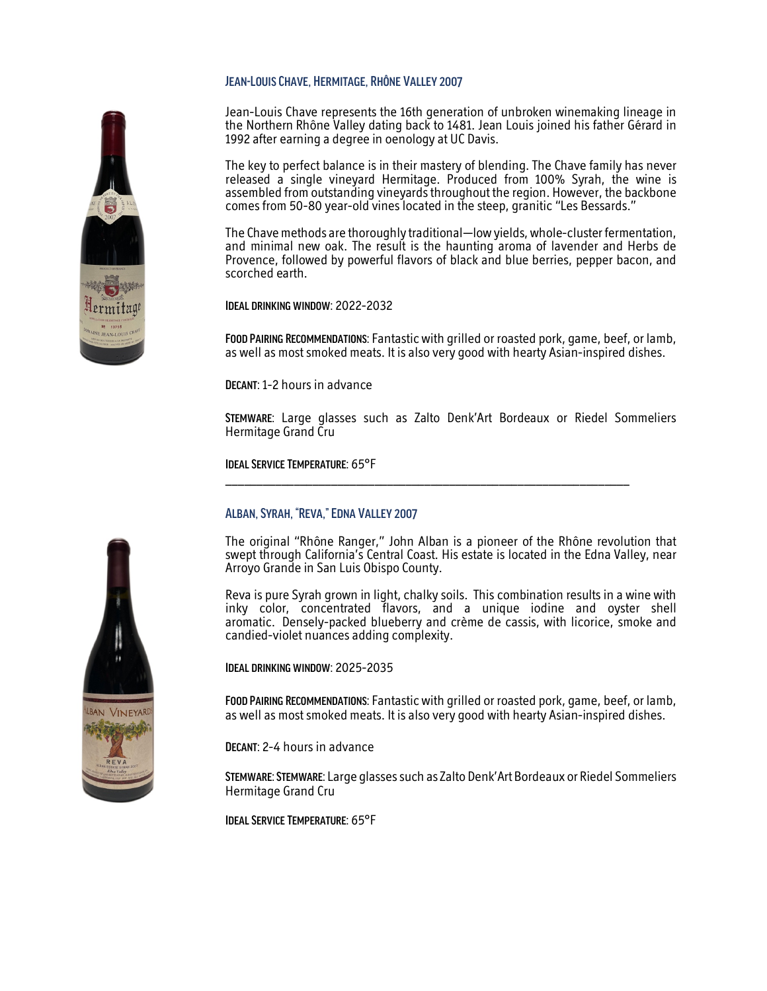#### Jean-Louis Chave, Hermitage, Rhône Valley 2007

Jean-Louis Chave represents the 16th generation of unbroken winemaking lineage in the Northern Rhône Valley dating back to 1481. Jean Louis joined his father Gérard in 1992 after earning a degree in oenology at UC Davis.

The key to perfect balance is in their mastery of blending. The Chave family has never released a single vineyard Hermitage. Produced from 100% Syrah, the wine is assembled from outstanding vineyards throughout the region. However, the backbone comes from 50-80 year-old vines located in the steep, granitic "Les Bessards."

The Chave methods are thoroughly traditional—low yields, whole-cluster fermentation, and minimal new oak. The result is the haunting aroma of lavender and Herbs de Provence, followed by powerful flavors of black and blue berries, pepper bacon, and scorched earth.

Ideal drinking window: 2022-2032

Food Pairing Recommendations: Fantastic with grilled or roasted pork, game, beef, or lamb, as well as most smoked meats. It is also very good with hearty Asian-inspired dishes.

DECANT: 1-2 hours in advance

Stemware: Large glasses such as Zalto Denk'Art Bordeaux or Riedel Sommeliers Hermitage Grand Cru

\_\_\_\_\_\_\_\_\_\_\_\_\_\_\_\_\_\_\_\_\_\_\_\_\_\_\_\_\_\_\_\_\_\_\_\_\_\_\_\_\_\_\_\_\_\_\_\_\_\_\_\_\_\_\_\_\_\_\_\_\_\_\_\_\_

Ideal Service Temperature: 65°F

#### Alban, Syrah, "Reva," Edna Valley 2007

The original "Rhône Ranger," John Alban is a pioneer of the Rhône revolution that swept through California's Central Coast. His estate is located in the Edna Valley, near Arroyo Grande in San Luis Obispo County.

Reva is pure Syrah grown in light, chalky soils. This combination results in a wine with inky color, concentrated flavors, and a unique iodine and oyster shell aromatic. Densely-packed blueberry and crème de cassis, with licorice, smoke and candied-violet nuances adding complexity.

Ideal drinking window: 2025-2035

Food Pairing Recommendations: Fantastic with grilled or roasted pork, game, beef, or lamb, as well as most smoked meats. It is also very good with hearty Asian-inspired dishes.

Decant: 2-4 hours in advance

STEMWARE: STEMWARE: Large glasses such as Zalto Denk'Art Bordeaux or Riedel Sommeliers Hermitage Grand Cru

Ideal Service Temperature: 65°F